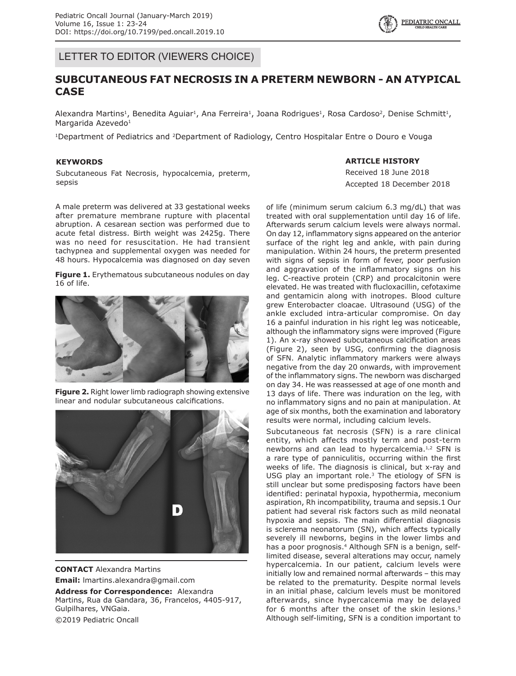LETTER TO EDITOR (VIEWERS CHOICE)

# **SUBCUTANEOUS FAT NECROSIS IN A PRETERM NEWBORN - AN ATYPICAL CASE**

Alexandra Martins<sup>1</sup>, Benedita Aguiar<sup>1</sup>, Ana Ferreira<sup>1</sup>, Joana Rodrigues<sup>1</sup>, Rosa Cardoso<sup>2</sup>, Denise Schmitt<sup>1</sup>, Margarida Azevedo<sup>1</sup>

<sup>1</sup>Department of Pediatrics and <sup>2</sup>Department of Radiology, Centro Hospitalar Entre o Douro e Vouga

#### **KEYWORDS**

Subcutaneous Fat Necrosis, hypocalcemia, preterm, sepsis

**ARTICLE HISTORY**

Received 18 June 2018 Accepted 18 December 2018

A male preterm was delivered at 33 gestational weeks after premature membrane rupture with placental abruption. A cesarean section was performed due to acute fetal distress. Birth weight was 2425g. There was no need for resuscitation. He had transient tachypnea and supplemental oxygen was needed for 48 hours. Hypocalcemia was diagnosed on day seven

**Figure 1.** Erythematous subcutaneous nodules on day 16 of life.



**Figure 2.** Right lower limb radiograph showing extensive linear and nodular subcutaneous calcifications.



**CONTACT** Alexandra Martins **Email:** lmartins.alexandra@gmail.com

**Address for Correspondence:** Alexandra Martins, Rua da Gandara, 36, Francelos, 4405-917, Gulpilhares, VNGaia. ©2019 Pediatric Oncall

of life (minimum serum calcium 6.3 mg/dL) that was treated with oral supplementation until day 16 of life. Afterwards serum calcium levels were always normal. On day 12, inflammatory signs appeared on the anterior surface of the right leg and ankle, with pain during manipulation. Within 24 hours, the preterm presented with signs of sepsis in form of fever, poor perfusion and aggravation of the inflammatory signs on his leg. C-reactive protein (CRP) and procalcitonin were elevated. He was treated with flucloxacillin, cefotaxime and gentamicin along with inotropes. Blood culture grew Enterobacter cloacae. Ultrasound (USG) of the ankle excluded intra-articular compromise. On day 16 a painful induration in his right leg was noticeable, although the inflammatory signs were improved (Figure 1). An x-ray showed subcutaneous calcification areas (Figure 2), seen by USG, confirming the diagnosis of SFN. Analytic inflammatory markers were always negative from the day 20 onwards, with improvement of the inflammatory signs. The newborn was discharged on day 34. He was reassessed at age of one month and 13 days of life. There was induration on the leg, with no inflammatory signs and no pain at manipulation. At age of six months, both the examination and laboratory results were normal, including calcium levels.

Subcutaneous fat necrosis (SFN) is a rare clinical entity, which affects mostly term and post-term newborns and can lead to hypercalcemia.1,2 SFN is a rare type of panniculitis, occurring within the first weeks of life. The diagnosis is clinical, but x-ray and USG play an important role.3 The etiology of SFN is still unclear but some predisposing factors have been identified: perinatal hypoxia, hypothermia, meconium aspiration, Rh incompatibility, trauma and sepsis.1 Our patient had several risk factors such as mild neonatal hypoxia and sepsis. The main differential diagnosis is sclerema neonatorum (SN), which affects typically severely ill newborns, begins in the lower limbs and has a poor prognosis.<sup>4</sup> Although SFN is a benign, selflimited disease, several alterations may occur, namely hypercalcemia. In our patient, calcium levels were initially low and remained normal afterwards – this may be related to the prematurity. Despite normal levels in an initial phase, calcium levels must be monitored afterwards, since hypercalcemia may be delayed for 6 months after the onset of the skin lesions.<sup>5</sup> Although self-limiting, SFN is a condition important to